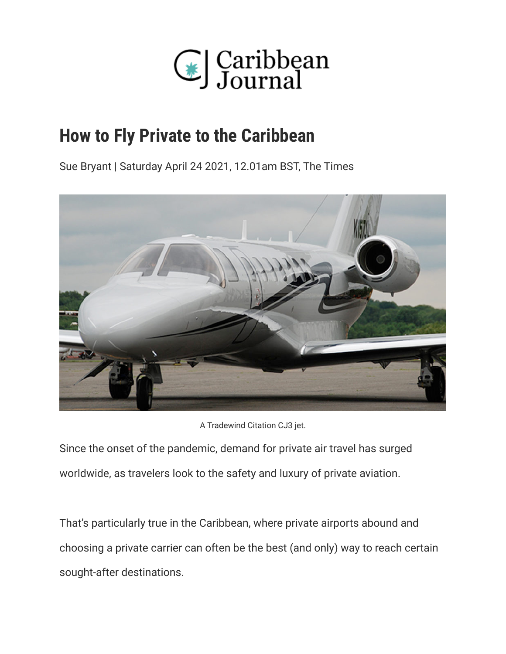

# **How to Fly Private to the Caribbean**

Sue Bryant | Saturday April 24 2021, 12.01am BST, The Times



A Tradewind Citation CJ3 jet.

Since the onset of the pandemic, demand for private air travel has surged worldwide, as travelers look to the safety and luxury of private aviation.

That's particularly true in the Caribbean, where private airports abound and choosing a private carrier can often be the best (and only) way to reach certain sought-after destinations.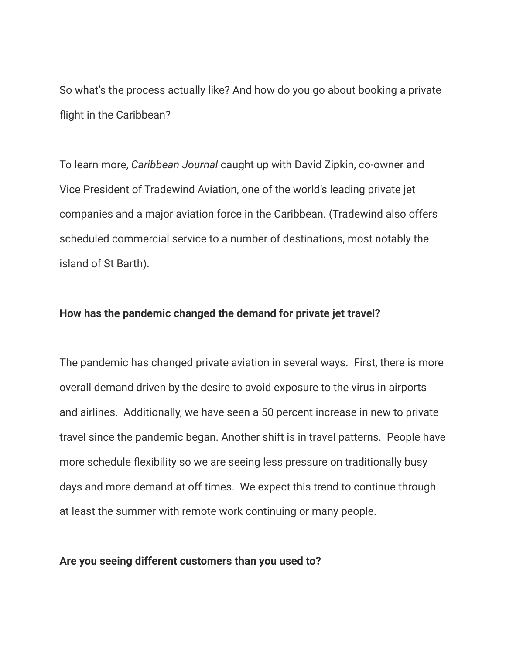So what's the process actually like? And how do you go about booking a private flight in the Caribbean?

To learn more, *Caribbean Journal* caught up with David Zipkin, co-owner and Vice President of Tradewind Aviation, one of the world's leading private jet companies and a major aviation force in the Caribbean. (Tradewind also offers scheduled commercial service to a number of destinations, most notably the island of St Barth).

#### **How has the pandemic changed the demand for private jet travel?**

The pandemic has changed private aviation in several ways. First, there is more overall demand driven by the desire to avoid exposure to the virus in airports and airlines. Additionally, we have seen a 50 percent increase in new to private travel since the pandemic began. Another shift is in travel patterns. People have more schedule flexibility so we are seeing less pressure on traditionally busy days and more demand at off times. We expect this trend to continue through at least the summer with remote work continuing or many people.

#### **Are you seeing different customers than you used to?**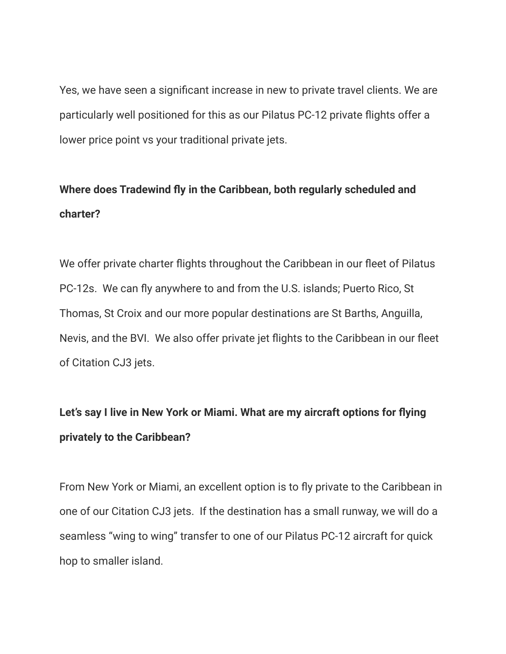Yes, we have seen a significant increase in new to private travel clients. We are particularly well positioned for this as our Pilatus PC-12 private flights offer a lower price point vs your traditional private jets.

# **Where does Tradewind fly in the Caribbean, both regularly scheduled and charter?**

We offer private charter flights throughout the Caribbean in our fleet of Pilatus PC-12s. We can fly anywhere to and from the U.S. islands; Puerto Rico, St Thomas, St Croix and our more popular destinations are St Barths, Anguilla, Nevis, and the BVI. We also offer private jet flights to the Caribbean in our fleet of Citation CJ3 jets.

# **Let's say I live in New York or Miami. What are my aircraft options for flying privately to the Caribbean?**

From New York or Miami, an excellent option is to fly private to the Caribbean in one of our Citation CJ3 jets. If the destination has a small runway, we will do a seamless "wing to wing" transfer to one of our Pilatus PC-12 aircraft for quick hop to smaller island.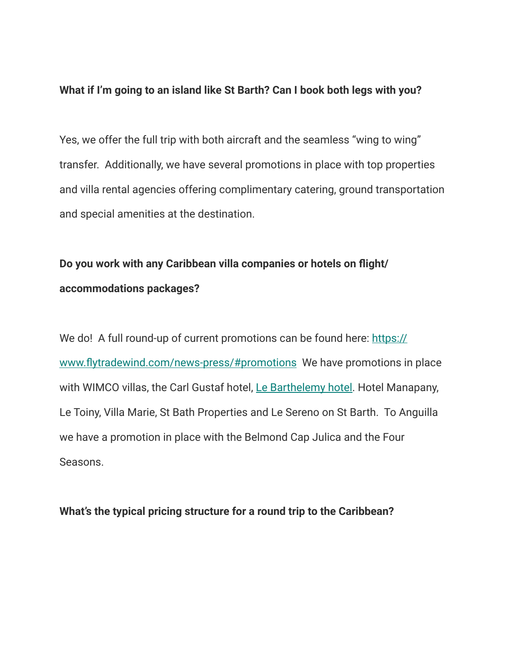#### **What if I'm going to an island like St Barth? Can I book both legs with you?**

Yes, we offer the full trip with both aircraft and the seamless "wing to wing" transfer. Additionally, we have several promotions in place with top properties and villa rental agencies offering complimentary catering, ground transportation and special amenities at the destination.

## **Do you work with any Caribbean villa companies or hotels on flight/ accommodations packages?**

We do! A full round-up of current promotions can be found here: [https://](https://www.flytradewind.com/news-press/#promotions) [www.flytradewind.com/news-press/#promotions](https://www.flytradewind.com/news-press/#promotions) We have promotions in place with WIMCO villas, the Carl Gustaf hotel, [Le Barthelemy hotel](http://www.lebarthelemyhotel.com). Hotel Manapany, Le Toiny, Villa Marie, St Bath Properties and Le Sereno on St Barth. To Anguilla we have a promotion in place with the Belmond Cap Julica and the Four Seasons.

#### **What's the typical pricing structure for a round trip to the Caribbean?**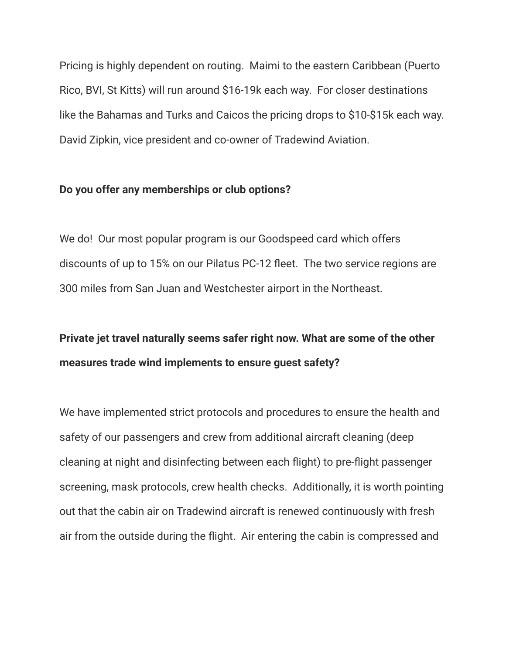Pricing is highly dependent on routing. Maimi to the eastern Caribbean (Puerto Rico, BVI, St Kitts) will run around \$16-19k each way. For closer destinations like the Bahamas and Turks and Caicos the pricing drops to \$10-\$15k each way. David Zipkin, vice president and co-owner of Tradewind Aviation.

#### **Do you offer any memberships or club options?**

We do! Our most popular program is our Goodspeed card which offers discounts of up to 15% on our Pilatus PC-12 fleet. The two service regions are 300 miles from San Juan and Westchester airport in the Northeast.

### **Private jet travel naturally seems safer right now. What are some of the other measures trade wind implements to ensure guest safety?**

We have implemented strict protocols and procedures to ensure the health and safety of our passengers and crew from additional aircraft cleaning (deep cleaning at night and disinfecting between each flight) to pre-flight passenger screening, mask protocols, crew health checks. Additionally, it is worth pointing out that the cabin air on Tradewind aircraft is renewed continuously with fresh air from the outside during the flight. Air entering the cabin is compressed and